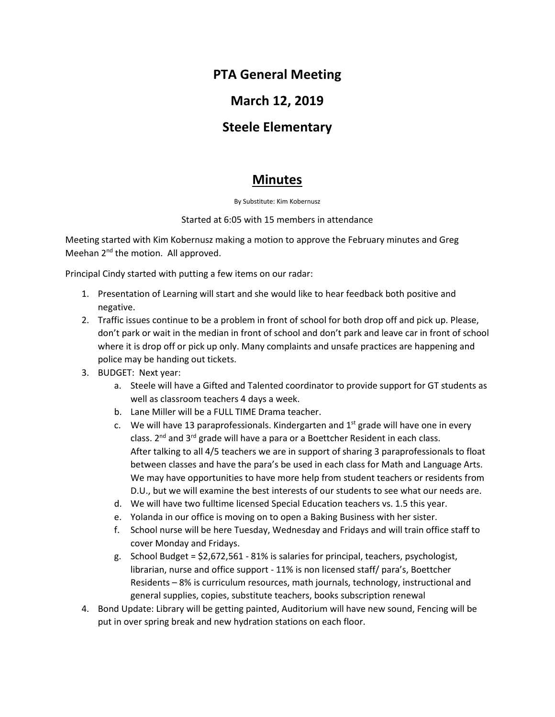# **PTA General Meeting**

### **March 12, 2019**

### **Steele Elementary**

# **Minutes**

By Substitute: Kim Kobernusz

#### Started at 6:05 with 15 members in attendance

Meeting started with Kim Kobernusz making a motion to approve the February minutes and Greg Meehan 2<sup>nd</sup> the motion. All approved.

Principal Cindy started with putting a few items on our radar:

- 1. Presentation of Learning will start and she would like to hear feedback both positive and negative.
- 2. Traffic issues continue to be a problem in front of school for both drop off and pick up. Please, don't park or wait in the median in front of school and don't park and leave car in front of school where it is drop off or pick up only. Many complaints and unsafe practices are happening and police may be handing out tickets.
- 3. BUDGET: Next year:
	- a. Steele will have a Gifted and Talented coordinator to provide support for GT students as well as classroom teachers 4 days a week.
	- b. Lane Miller will be a FULL TIME Drama teacher.
	- c. We will have 13 paraprofessionals. Kindergarten and  $1<sup>st</sup>$  grade will have one in every class. 2<sup>nd</sup> and 3<sup>rd</sup> grade will have a para or a Boettcher Resident in each class. After talking to all 4/5 teachers we are in support of sharing 3 paraprofessionals to float between classes and have the para's be used in each class for Math and Language Arts. We may have opportunities to have more help from student teachers or residents from D.U., but we will examine the best interests of our students to see what our needs are.
	- d. We will have two fulltime licensed Special Education teachers vs. 1.5 this year.
	- e. Yolanda in our office is moving on to open a Baking Business with her sister.
	- f. School nurse will be here Tuesday, Wednesday and Fridays and will train office staff to cover Monday and Fridays.
	- g. School Budget = \$2,672,561 81% is salaries for principal, teachers, psychologist, librarian, nurse and office support - 11% is non licensed staff/ para's, Boettcher Residents – 8% is curriculum resources, math journals, technology, instructional and general supplies, copies, substitute teachers, books subscription renewal
- 4. Bond Update: Library will be getting painted, Auditorium will have new sound, Fencing will be put in over spring break and new hydration stations on each floor.